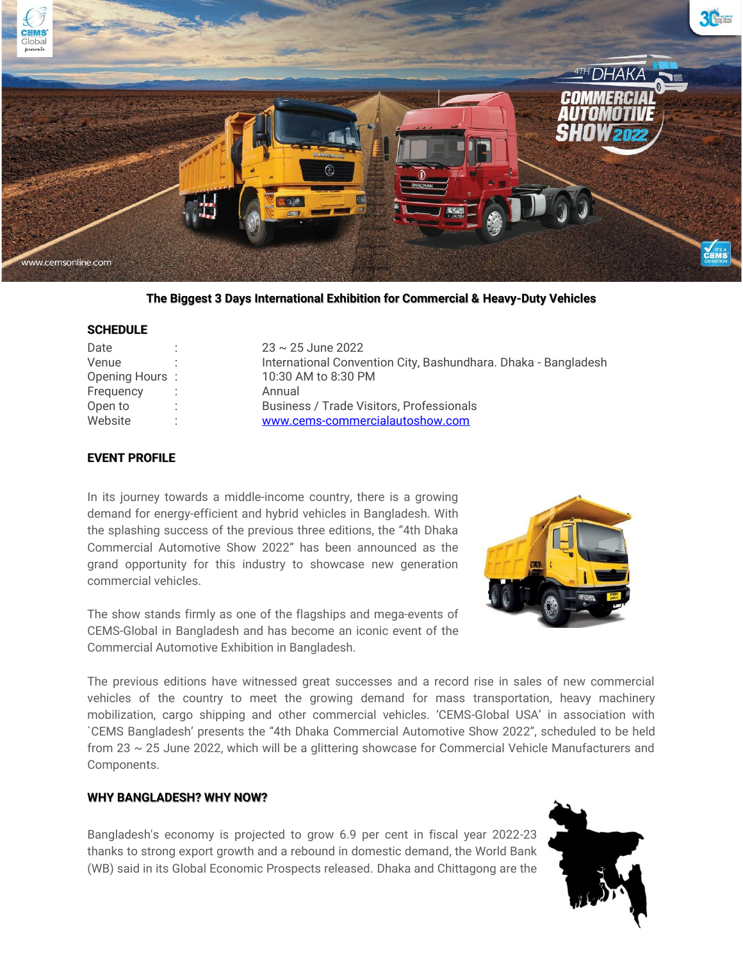

**The Biggest 3 Days International Exhibition for Commercial & Heavy-Duty Vehicles**

## **SCHEDULE**

| Date           | $23 \sim 25$ June 2022                                         |
|----------------|----------------------------------------------------------------|
| Venue          | International Convention City, Bashundhara. Dhaka - Bangladesh |
| Opening Hours: | 10:30 AM to 8:30 PM                                            |
| Frequency      | Annual                                                         |
| Open to        | <b>Business / Trade Visitors, Professionals</b>                |
| Website        | www.cems-commercialautoshow.com                                |

## **EVENT PROFILE**

In its journey towards a middle-income country, there is a growing demand for energy-efficient and hybrid vehicles in Bangladesh. With the splashing success of the previous three editions, the "4th Dhaka Commercial Automotive Show 2022" has been announced as the grand opportunity for this industry to showcase new generation commercial vehicles.

The show stands firmly as one of the flagships and mega-events of CEMS-Global in Bangladesh and has become an iconic event of the Commercial Automotive Exhibition in Bangladesh.



The previous editions have witnessed great successes and a record rise in sales of new commercial vehicles of the country to meet the growing demand for mass transportation, heavy machinery mobilization, cargo shipping and other commercial vehicles. 'CEMS-Global USA' in association with `CEMS Bangladesh' presents the "4th Dhaka Commercial Automotive Show 2022", scheduled to be held from 23 ~ 25 June 2022, which will be a glittering showcase for Commercial Vehicle Manufacturers and Components.

## **WHY BANGLADESH? WHY NOW?**

Bangladesh's economy is projected to grow 6.9 per cent in fiscal year 2022-23 thanks to strong export growth and a rebound in domestic demand, the World Bank (WB) said in its Global Economic Prospects released. Dhaka and Chittagong are the

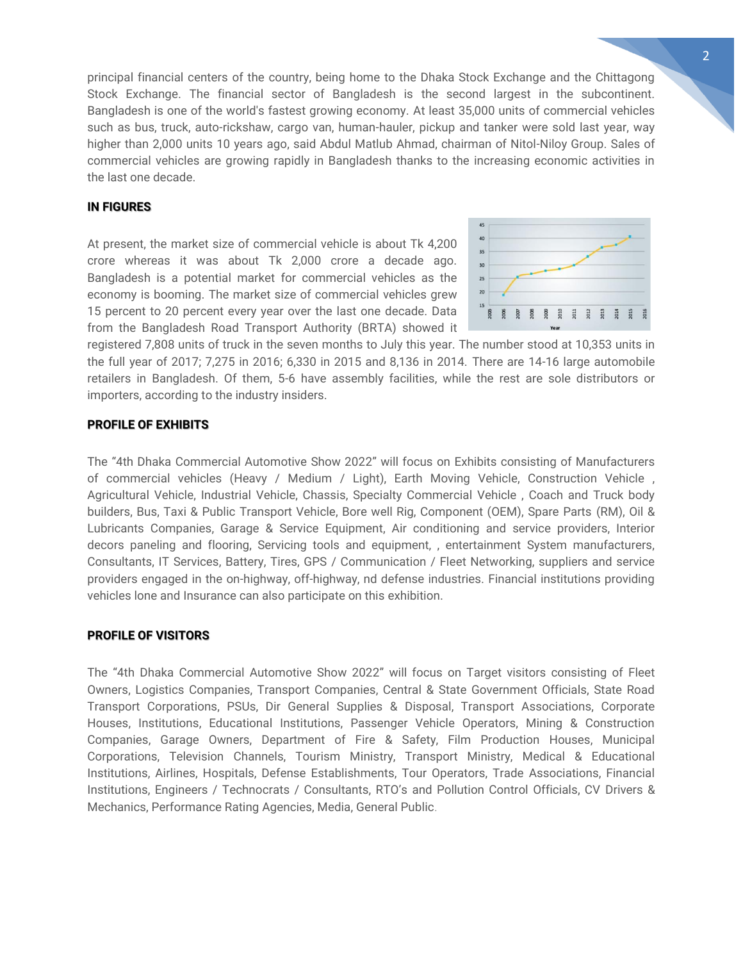principal financial centers of the country, being home to the Dhaka Stock Exchange and the Chittagong Stock Exchange. The financial sector of Bangladesh is the second largest in the subcontinent. Bangladesh is one of the world's fastest growing economy. At least 35,000 units of commercial vehicles such as bus, truck, auto-rickshaw, cargo van, human-hauler, pickup and tanker were sold last year, way higher than 2,000 units 10 years ago, said Abdul Matlub Ahmad, chairman of Nitol-Niloy Group. Sales of commercial vehicles are growing rapidly in Bangladesh thanks to the increasing economic activities in the last one decade.

## **IN FIGURES**

At present, the market size of commercial vehicle is about Tk 4,200 crore whereas it was about Tk 2,000 crore a decade ago. Bangladesh is a potential market for commercial vehicles as the economy is booming. The market size of commercial vehicles grew 15 percent to 20 percent every year over the last one decade. Data from the Bangladesh Road Transport Authority (BRTA) showed it



registered 7,808 units of truck in the seven months to July this year. The number stood at 10,353 units in the full year of 2017; 7,275 in 2016; 6,330 in 2015 and 8,136 in 2014. There are 14-16 large automobile retailers in Bangladesh. Of them, 5-6 have assembly facilities, while the rest are sole distributors or importers, according to the industry insiders.

### **PROFILE OF EXHIBITS**

The "4th Dhaka Commercial Automotive Show 2022" will focus on Exhibits consisting of Manufacturers of commercial vehicles (Heavy / Medium / Light), Earth Moving Vehicle, Construction Vehicle , Agricultural Vehicle, Industrial Vehicle, Chassis, Specialty Commercial Vehicle , Coach and Truck body builders, Bus, Taxi & Public Transport Vehicle, Bore well Rig, Component (OEM), Spare Parts (RM), Oil & Lubricants Companies, Garage & Service Equipment, Air conditioning and service providers, Interior decors paneling and flooring, Servicing tools and equipment, , entertainment System manufacturers, Consultants, IT Services, Battery, Tires, GPS / Communication / Fleet Networking, suppliers and service providers engaged in the on-highway, off-highway, nd defense industries. Financial institutions providing vehicles lone and Insurance can also participate on this exhibition.

## **PROFILE OF VISITORS**

The "4th Dhaka Commercial Automotive Show 2022" will focus on Target visitors consisting of Fleet Owners, Logistics Companies, Transport Companies, Central & State Government Officials, State Road Transport Corporations, PSUs, Dir General Supplies & Disposal, Transport Associations, Corporate Houses, Institutions, Educational Institutions, Passenger Vehicle Operators, Mining & Construction Companies, Garage Owners, Department of Fire & Safety, Film Production Houses, Municipal Corporations, Television Channels, Tourism Ministry, Transport Ministry, Medical & Educational Institutions, Airlines, Hospitals, Defense Establishments, Tour Operators, Trade Associations, Financial Institutions, Engineers / Technocrats / Consultants, RTO's and Pollution Control Officials, CV Drivers & Mechanics, Performance Rating Agencies, Media, General Public.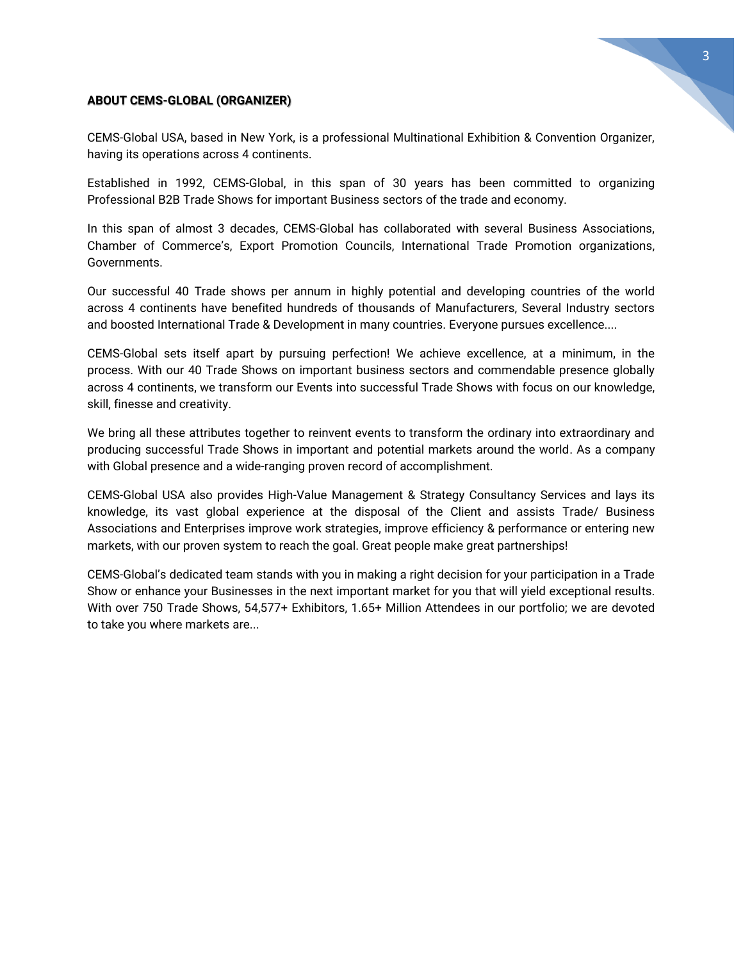## **ABOUT CEMS-GLOBAL (ORGANIZER)**

CEMS-Global USA, based in New York, is a professional Multinational Exhibition & Convention Organizer, having its operations across 4 continents.

Established in 1992, CEMS-Global, in this span of 30 years has been committed to organizing Professional B2B Trade Shows for important Business sectors of the trade and economy.

In this span of almost 3 decades, CEMS-Global has collaborated with several Business Associations, Chamber of Commerce's, Export Promotion Councils, International Trade Promotion organizations, Governments.

Our successful 40 Trade shows per annum in highly potential and developing countries of the world across 4 continents have benefited hundreds of thousands of Manufacturers, Several Industry sectors and boosted International Trade & Development in many countries. Everyone pursues excellence....

CEMS-Global sets itself apart by pursuing perfection! We achieve excellence, at a minimum, in the process. With our 40 Trade Shows on important business sectors and commendable presence globally across 4 continents, we transform our Events into successful Trade Shows with focus on our knowledge, skill, finesse and creativity.

We bring all these attributes together to reinvent events to transform the ordinary into extraordinary and producing successful Trade Shows in important and potential markets around the world. As a company with Global presence and a wide-ranging proven record of accomplishment.

CEMS-Global USA also provides High-Value Management & Strategy Consultancy Services and lays its knowledge, its vast global experience at the disposal of the Client and assists Trade/ Business Associations and Enterprises improve work strategies, improve efficiency & performance or entering new markets, with our proven system to reach the goal. Great people make great partnerships!

CEMS-Global's dedicated team stands with you in making a right decision for your participation in a Trade Show or enhance your Businesses in the next important market for you that will yield exceptional results. With over 750 Trade Shows, 54,577+ Exhibitors, 1.65+ Million Attendees in our portfolio; we are devoted to take you where markets are...